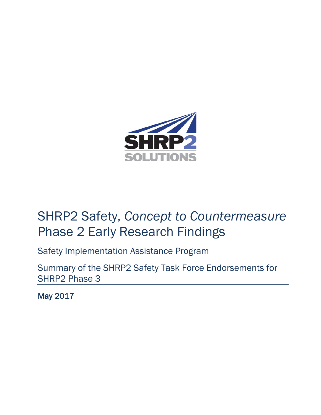

# SHRP2 Safety, *Concept to Countermeasure* Phase 2 Early Research Findings

Safety Implementation Assistance Program

Summary of the SHRP2 Safety Task Force Endorsements for SHRP2 Phase 3

May 2017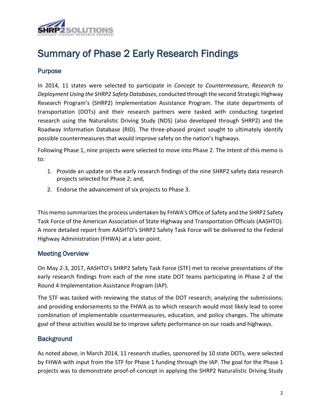

## Summary of Phase 2 Early Research Findings

## Purpose

In 2014, 11 states were selected to participate in *Concept to Countermeasure, Research to Deployment Using the SHRP2 Safety Databases*, conducted through the second Strategic Highway Research Program's (SHRP2) Implementation Assistance Program. The state departments of transportation (DOTs) and their research partners were tasked with conducting targeted research using the Naturalistic Driving Study (NDS) (also developed through SHRP2) and the Roadway Information Database (RID). The three-phased project sought to ultimately identify possible countermeasures that would improve safety on the nation's highways.

Following Phase 1, nine projects were selected to move into Phase 2. The intent of this memo is to:

- 1. Provide an update on the early research findings of the nine SHRP2 safety data research projects selected for Phase 2; and,
- 2. Endorse the advancement of six projects to Phase 3.

This memo summarizesthe process undertaken by FHWA's Office of Safety and the SHRP2 Safety Task Force of the American Association of State Highway and Transportation Officials (AASHTO). A more detailed report from AASHTO's SHRP2 Safety Task Force will be delivered to the Federal Highway Administration (FHWA) at a later point.

## Meeting Overview

On May 2-3, 2017, AASHTO's SHRP2 Safety Task Force (STF) met to receive presentations of the early research findings from each of the nine state DOT teams participating in Phase 2 of the Round 4 Implementation Assistance Program (IAP).

The STF was tasked with reviewing the status of the DOT research; analyzing the submissions; and providing endorsements to the FHWA as to which research would most likely lead to some combination of implementable countermeasures, education, and policy changes. The ultimate goal of these activities would be to improve safety performance on our roads and highways.

## **Background**

As noted above, in March 2014, 11 research studies, sponsored by 10 state DOTs, were selected by FHWA with input from the STF for Phase 1 funding through the IAP. The goal for the Phase 1 projects was to demonstrate proof-of-concept in applying the SHRP2 Naturalistic Driving Study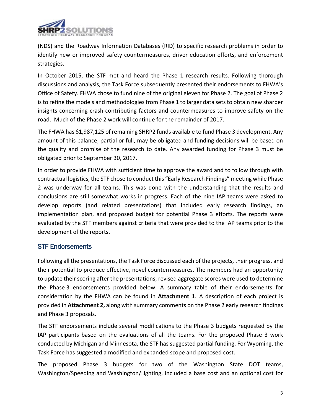

(NDS) and the Roadway Information Databases (RID) to specific research problems in order to identify new or improved safety countermeasures, driver education efforts, and enforcement strategies.

In October 2015, the STF met and heard the Phase 1 research results. Following thorough discussions and analysis, the Task Force subsequently presented their endorsements to FHWA's Office of Safety. FHWA chose to fund nine of the original eleven for Phase 2. The goal of Phase 2 is to refine the models and methodologies from Phase 1 to larger data sets to obtain new sharper insights concerning crash-contributing factors and countermeasures to improve safety on the road. Much of the Phase 2 work will continue for the remainder of 2017.

The FHWA has \$1,987,125 of remaining SHRP2 funds available to fund Phase 3 development. Any amount of this balance, partial or full, may be obligated and funding decisions will be based on the quality and promise of the research to date. Any awarded funding for Phase 3 must be obligated prior to September 30, 2017.

In order to provide FHWA with sufficient time to approve the award and to follow through with contractual logistics, the STF chose to conduct this "Early Research Findings" meeting while Phase 2 was underway for all teams. This was done with the understanding that the results and conclusions are still somewhat works in progress. Each of the nine IAP teams were asked to develop reports (and related presentations) that included early research findings, an implementation plan, and proposed budget for potential Phase 3 efforts. The reports were evaluated by the STF members against criteria that were provided to the IAP teams prior to the development of the reports.

## STF Endorsements

Following all the presentations, the Task Force discussed each of the projects, their progress, and their potential to produce effective, novel countermeasures. The members had an opportunity to update their scoring after the presentations; revised aggregate scores were used to determine the Phase 3 endorsements provided below. A summary table of their endorsements for consideration by the FHWA can be found in **Attachment 1**. A description of each project is provided in **Attachment 2,** along with summary comments on the Phase 2 early research findings and Phase 3 proposals.

The STF endorsements include several modifications to the Phase 3 budgets requested by the IAP participants based on the evaluations of all the teams. For the proposed Phase 3 work conducted by Michigan and Minnesota, the STF has suggested partial funding. For Wyoming, the Task Force has suggested a modified and expanded scope and proposed cost.

The proposed Phase 3 budgets for two of the Washington State DOT teams, Washington/Speeding and Washington/Lighting, included a base cost and an optional cost for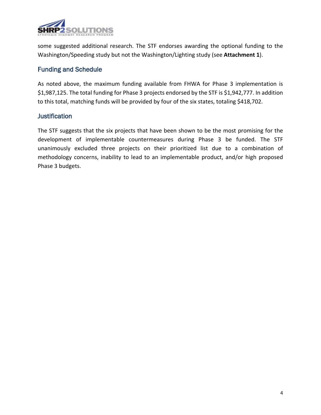

some suggested additional research. The STF endorses awarding the optional funding to the Washington/Speeding study but not the Washington/Lighting study (see **Attachment 1**).

## Funding and Schedule

As noted above, the maximum funding available from FHWA for Phase 3 implementation is \$1,987,125. The total funding for Phase 3 projects endorsed by the STF is \$1,942,777. In addition to this total, matching funds will be provided by four of the six states, totaling \$418,702.

## **Justification**

The STF suggests that the six projects that have been shown to be the most promising for the development of implementable countermeasures during Phase 3 be funded. The STF unanimously excluded three projects on their prioritized list due to a combination of methodology concerns, inability to lead to an implementable product, and/or high proposed Phase 3 budgets.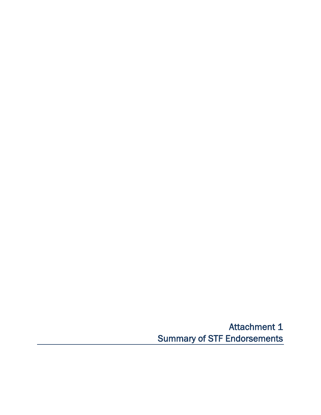Attachment 1 Summary of STF Endorsements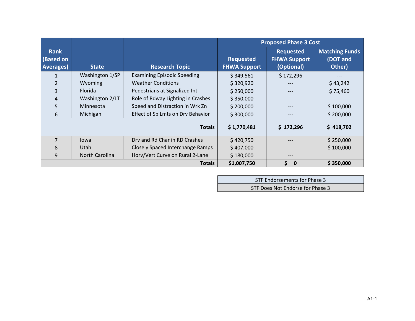|                                               |                 |                                    | <b>Proposed Phase 3 Cost</b>            |                                                       |                                             |
|-----------------------------------------------|-----------------|------------------------------------|-----------------------------------------|-------------------------------------------------------|---------------------------------------------|
| <b>Rank</b><br>(Based on<br><b>Averages</b> ) | <b>State</b>    | <b>Research Topic</b>              | <b>Requested</b><br><b>FHWA Support</b> | <b>Requested</b><br><b>FHWA Support</b><br>(Optional) | <b>Matching Funds</b><br>(DOT and<br>Other) |
| 1                                             | Washington 1/SP | <b>Examining Episodic Speeding</b> | \$349,561                               | \$172,296                                             |                                             |
| $\overline{2}$                                | Wyoming         | <b>Weather Conditions</b>          | \$320,920                               |                                                       | \$43,242                                    |
| 3                                             | <b>Florida</b>  | Pedestrians at Signalized Int      | \$250,000                               |                                                       | \$75,460                                    |
| $\overline{4}$                                | Washington 2/LT | Role of Rdway Lighting in Crashes  | \$350,000                               |                                                       |                                             |
| 5                                             | Minnesota       | Speed and Distraction in Wrk Zn    | \$200,000                               | $---$                                                 | \$100,000                                   |
| 6                                             | Michigan        | Effect of Sp Lmts on Drv Behavior  | \$300,000                               | $---$                                                 | \$200,000                                   |
| <b>Totals</b>                                 |                 |                                    | \$1,770,481                             | \$172,296                                             | \$418,702                                   |
| $\overline{7}$                                | lowa            | Drv and Rd Char in RD Crashes      | \$420,750                               |                                                       | \$250,000                                   |
| 8                                             | Utah            | Closely Spaced Interchange Ramps   | \$407,000                               |                                                       | \$100,000                                   |
| 9                                             | North Carolina  | Horv/Vert Curve on Rural 2-Lane    | \$180,000                               | ---                                                   |                                             |
|                                               |                 | <b>Totals</b>                      | \$1,007,750                             | \$<br>$\mathbf{0}$                                    | \$350,000                                   |

| STF Endorsements for Phase 3     |  |
|----------------------------------|--|
| STF Does Not Endorse for Phase 3 |  |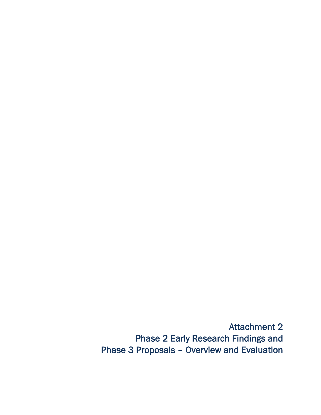Attachment 2 Phase 2 Early Research Findings and Phase 3 Proposals – Overview and Evaluation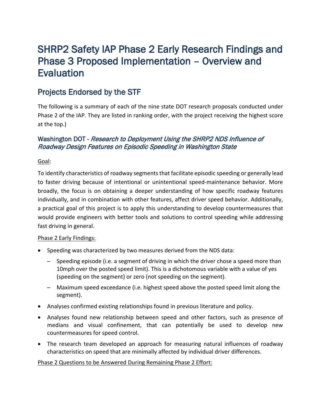## SHRP2 Safety IAP Phase 2 Early Research Findings and Phase 3 Proposed Implementation – Overview and **Evaluation**

## Projects Endorsed by the STF

The following is a summary of each of the nine state DOT research proposals conducted under Phase 2 of the IAP. They are listed in ranking order, with the project receiving the highest score at the top.)

## Washington DOT - Research to Deployment Using the SHRP2 NDS Influence of Roadway Design Features on Episodic Speeding in Washington State

Goal:

To identify characteristics of roadway segments that facilitate episodic speeding or generally lead to faster driving because of intentional or unintentional speed-maintenance behavior. More broadly, the focus is on obtaining a deeper understanding of how specific roadway features individually, and in combination with other features, affect driver speed behavior. Additionally, a practical goal of this project is to apply this understanding to develop countermeasures that would provide engineers with better tools and solutions to control speeding while addressing fast driving in general.

## Phase 2 Early Findings:

- Speeding was characterized by two measures derived from the NDS data:
	- Speeding episode (i.e. a segment of driving in which the driver chose a speed more than 10mph over the posted speed limit). This is a dichotomous variable with a value of yes (speeding on the segment) or zero (not speeding on the segment).
	- Maximum speed exceedance (i.e. highest speed above the posted speed limit along the segment).
- Analyses confirmed existing relationships found in previous literature and policy.
- Analyses found new relationship between speed and other factors, such as presence of medians and visual confinement, that can potentially be used to develop new countermeasures for speed control.
- The research team developed an approach for measuring natural influences of roadway characteristics on speed that are minimally affected by individual driver differences.

## Phase 2 Questions to be Answered During Remaining Phase 2 Effort: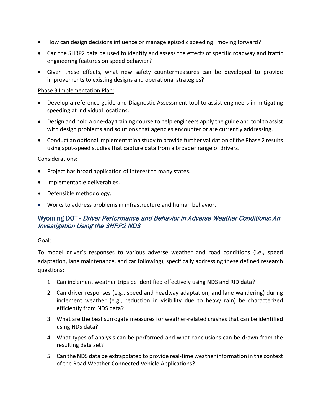- How can design decisions influence or manage episodic speeding moving forward?
- Can the SHRP2 data be used to identify and assess the effects of specific roadway and traffic engineering features on speed behavior?
- Given these effects, what new safety countermeasures can be developed to provide improvements to existing designs and operational strategies?

## Phase 3 Implementation Plan:

- Develop a reference guide and Diagnostic Assessment tool to assist engineers in mitigating speeding at individual locations.
- Design and hold a one-day training course to help engineers apply the guide and tool to assist with design problems and solutions that agencies encounter or are currently addressing.
- Conduct an optional implementation study to provide further validation of the Phase 2 results using spot-speed studies that capture data from a broader range of drivers.

#### Considerations:

- Project has broad application of interest to many states.
- Implementable deliverables.
- Defensible methodology.
- Works to address problems in infrastructure and human behavior.

## Wyoming DOT - Driver Performance and Behavior in Adverse Weather Conditions: An Investigation Using the SHRP2 NDS

#### Goal:

To model driver's responses to various adverse weather and road conditions (i.e., speed adaptation, lane maintenance, and car following), specifically addressing these defined research questions:

- 1. Can inclement weather trips be identified effectively using NDS and RID data?
- 2. Can driver responses (e.g., speed and headway adaptation, and lane wandering) during inclement weather (e.g., reduction in visibility due to heavy rain) be characterized efficiently from NDS data?
- 3. What are the best surrogate measures for weather-related crashes that can be identified using NDS data?
- 4. What types of analysis can be performed and what conclusions can be drawn from the resulting data set?
- 5. Can the NDS data be extrapolated to provide real-time weather information in the context of the Road Weather Connected Vehicle Applications?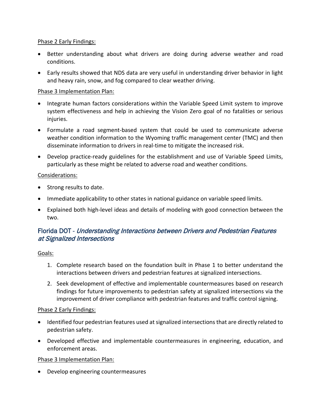## Phase 2 Early Findings:

- Better understanding about what drivers are doing during adverse weather and road conditions.
- Early results showed that NDS data are very useful in understanding driver behavior in light and heavy rain, snow, and fog compared to clear weather driving.

## Phase 3 Implementation Plan:

- Integrate human factors considerations within the Variable Speed Limit system to improve system effectiveness and help in achieving the Vision Zero goal of no fatalities or serious iniuries.
- Formulate a road segment-based system that could be used to communicate adverse weather condition information to the Wyoming traffic management center (TMC) and then disseminate information to drivers in real-time to mitigate the increased risk.
- Develop practice-ready guidelines for the establishment and use of Variable Speed Limits, particularly as these might be related to adverse road and weather conditions.

## Considerations:

- Strong results to date.
- Immediate applicability to other states in national guidance on variable speed limits.
- Explained both high-level ideas and details of modeling with good connection between the two.

## Florida DOT - Understanding Interactions between Drivers and Pedestrian Features at Signalized Intersections

## Goals:

- 1. Complete research based on the foundation built in Phase 1 to better understand the interactions between drivers and pedestrian features at signalized intersections.
- 2. Seek development of effective and implementable countermeasures based on research findings for future improvements to pedestrian safety at signalized intersections via the improvement of driver compliance with pedestrian features and traffic control signing.

#### Phase 2 Early Findings:

- Identified four pedestrian features used at signalized intersections that are directly related to pedestrian safety.
- Developed effective and implementable countermeasures in engineering, education, and enforcement areas.

#### Phase 3 Implementation Plan:

• Develop engineering countermeasures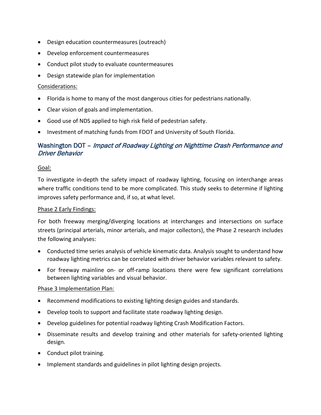- Design education countermeasures (outreach)
- Develop enforcement countermeasures
- Conduct pilot study to evaluate countermeasures
- Design statewide plan for implementation

#### Considerations:

- Florida is home to many of the most dangerous cities for pedestrians nationally.
- Clear vision of goals and implementation.
- Good use of NDS applied to high risk field of pedestrian safety.
- Investment of matching funds from FDOT and University of South Florida.

## Washington DOT – Impact of Roadway Lighting on Nighttime Crash Performance and Driver Behavior

#### Goal:

To investigate in-depth the safety impact of roadway lighting, focusing on interchange areas where traffic conditions tend to be more complicated. This study seeks to determine if lighting improves safety performance and, if so, at what level.

#### Phase 2 Early Findings:

For both freeway merging/diverging locations at interchanges and intersections on surface streets (principal arterials, minor arterials, and major collectors), the Phase 2 research includes the following analyses:

- Conducted time series analysis of vehicle kinematic data. Analysis sought to understand how roadway lighting metrics can be correlated with driver behavior variables relevant to safety.
- For freeway mainline on- or off-ramp locations there were few significant correlations between lighting variables and visual behavior.

#### Phase 3 Implementation Plan:

- Recommend modifications to existing lighting design guides and standards.
- Develop tools to support and facilitate state roadway lighting design.
- Develop guidelines for potential roadway lighting Crash Modification Factors.
- Disseminate results and develop training and other materials for safety-oriented lighting design.
- Conduct pilot training.
- Implement standards and guidelines in pilot lighting design projects.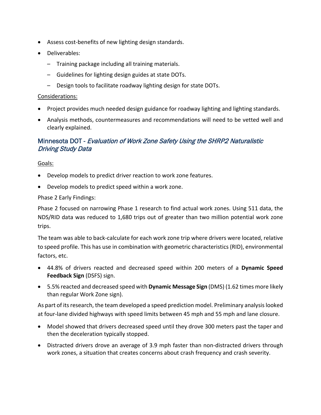- Assess cost-benefits of new lighting design standards.
- Deliverables:
	- Training package including all training materials.
	- Guidelines for lighting design guides at state DOTs.
	- Design tools to facilitate roadway lighting design for state DOTs.

## Considerations:

- Project provides much needed design guidance for roadway lighting and lighting standards.
- Analysis methods, countermeasures and recommendations will need to be vetted well and clearly explained.

## Minnesota DOT - Evaluation of Work Zone Safety Using the SHRP2 Naturalistic Driving Study Data

## Goals:

- Develop models to predict driver reaction to work zone features.
- Develop models to predict speed within a work zone.

## Phase 2 Early Findings:

Phase 2 focused on narrowing Phase 1 research to find actual work zones. Using 511 data, the NDS/RID data was reduced to 1,680 trips out of greater than two million potential work zone trips.

The team was able to back-calculate for each work zone trip where drivers were located, relative to speed profile. This has use in combination with geometric characteristics (RID), environmental factors, etc.

- 44.8% of drivers reacted and decreased speed within 200 meters of a **Dynamic Speed Feedback Sign** (DSFS) sign.
- 5.5% reacted and decreased speed with **Dynamic Message Sign** (DMS) (1.62 times more likely than regular Work Zone sign).

As part of its research, the team developed a speed prediction model. Preliminary analysis looked at four-lane divided highways with speed limits between 45 mph and 55 mph and lane closure.

- Model showed that drivers decreased speed until they drove 300 meters past the taper and then the deceleration typically stopped.
- Distracted drivers drove an average of 3.9 mph faster than non-distracted drivers through work zones, a situation that creates concerns about crash frequency and crash severity.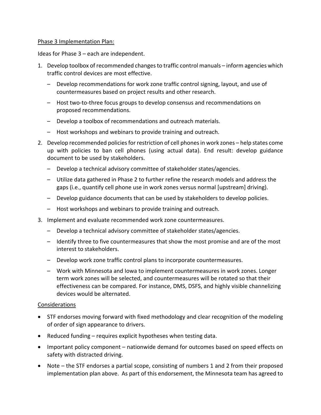#### Phase 3 Implementation Plan:

Ideas for Phase 3 – each are independent.

- 1. Develop toolbox of recommended changes to traffic control manuals inform agencies which traffic control devices are most effective.
	- Develop recommendations for work zone traffic control signing, layout, and use of countermeasures based on project results and other research.
	- Host two-to-three focus groups to develop consensus and recommendations on proposed recommendations.
	- Develop a toolbox of recommendations and outreach materials.
	- Host workshops and webinars to provide training and outreach.
- 2. Develop recommended policies for restriction of cell phones in work zones help states come up with policies to ban cell phones (using actual data). End result: develop guidance document to be used by stakeholders.
	- Develop a technical advisory committee of stakeholder states/agencies.
	- Utilize data gathered in Phase 2 to further refine the research models and address the gaps (i.e., quantify cell phone use in work zones versus normal [upstream] driving).
	- Develop guidance documents that can be used by stakeholders to develop policies.
	- Host workshops and webinars to provide training and outreach.
- 3. Implement and evaluate recommended work zone countermeasures.
	- Develop a technical advisory committee of stakeholder states/agencies.
	- Identify three to five countermeasures that show the most promise and are of the most interest to stakeholders.
	- Develop work zone traffic control plans to incorporate countermeasures.
	- Work with Minnesota and Iowa to implement countermeasures in work zones. Longer term work zones will be selected, and countermeasures will be rotated so that their effectiveness can be compared. For instance, DMS, DSFS, and highly visible channelizing devices would be alternated.

#### Considerations

- STF endorses moving forward with fixed methodology and clear recognition of the modeling of order of sign appearance to drivers.
- Reduced funding requires explicit hypotheses when testing data.
- Important policy component nationwide demand for outcomes based on speed effects on safety with distracted driving.
- Note the STF endorses a partial scope, consisting of numbers 1 and 2 from their proposed implementation plan above. As part of this endorsement, the Minnesota team has agreed to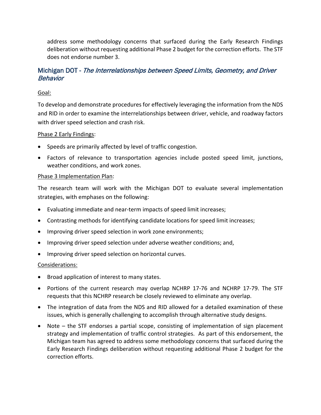address some methodology concerns that surfaced during the Early Research Findings deliberation without requesting additional Phase 2 budget for the correction efforts. The STF does not endorse number 3.

## Michigan DOT - The Interrelationships between Speed Limits, Geometry, and Driver **Behavior**

## Goal:

To develop and demonstrate procedures for effectively leveraging the information from the NDS and RID in order to examine the interrelationships between driver, vehicle, and roadway factors with driver speed selection and crash risk.

## Phase 2 Early Findings:

- Speeds are primarily affected by level of traffic congestion.
- Factors of relevance to transportation agencies include posted speed limit, junctions, weather conditions, and work zones.

## Phase 3 Implementation Plan:

The research team will work with the Michigan DOT to evaluate several implementation strategies, with emphases on the following:

- Evaluating immediate and near-term impacts of speed limit increases;
- Contrasting methods for identifying candidate locations for speed limit increases;
- Improving driver speed selection in work zone environments;
- Improving driver speed selection under adverse weather conditions; and,
- Improving driver speed selection on horizontal curves.

#### Considerations:

- Broad application of interest to many states.
- Portions of the current research may overlap NCHRP 17-76 and NCHRP 17-79. The STF requests that this NCHRP research be closely reviewed to eliminate any overlap.
- The integration of data from the NDS and RID allowed for a detailed examination of these issues, which is generally challenging to accomplish through alternative study designs.
- Note the STF endorses a partial scope, consisting of implementation of sign placement strategy and implementation of traffic control strategies. As part of this endorsement, the Michigan team has agreed to address some methodology concerns that surfaced during the Early Research Findings deliberation without requesting additional Phase 2 budget for the correction efforts.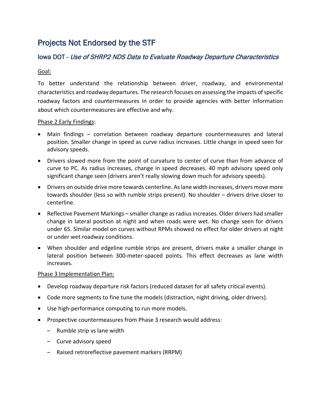## Projects Not Endorsed by the STF

## Iowa DOT - Use of SHRP2 NDS Data to Evaluate Roadway Departure Characteristics

## Goal:

To better understand the relationship between driver, roadway, and environmental characteristics and roadway departures. The research focuses on assessing the impacts of specific roadway factors and countermeasures in order to provide agencies with better information about which countermeasures are effective and why.

## Phase 2 Early Findings:

- Main findings correlation between roadway departure countermeasures and lateral position. Smaller change in speed as curve radius increases. Little change in speed seen for advisory speeds.
- Drivers slowed more from the point of curvature to center of curve than from advance of curve to PC. As radius increases, change in speed decreases. 40 mph advisory speed only significant change seen (drivers aren't really slowing down much for advisory speeds).
- Drivers on outside drive more towards centerline. As lane width increases, drivers move more towards shoulder (less so with rumble strips present). No shoulder – drivers drive closer to centerline.
- Reflective Pavement Markings smaller change as radius increases. Older drivers had smaller change in lateral position at night and when roads were wet. No change seen for drivers under 65. Similar model on curves without RPMs showed no effect for older drivers at night or under wet roadway conditions.
- When shoulder and edgeline rumble strips are present, drivers make a smaller change in lateral position between 300-meter-spaced points. This effect decreases as lane width increases.

## Phase 3 Implementation Plan:

- Develop roadway departure risk factors (reduced dataset for all safety critical events).
- Code more segments to fine tune the models (distraction, night driving, older drivers).
- Use high-performance computing to run more models.
- Prospective countermeasures from Phase 3 research would address:
	- Rumble strip vs lane width
	- Curve advisory speed
	- Raised retroreflective pavement markers (RRPM)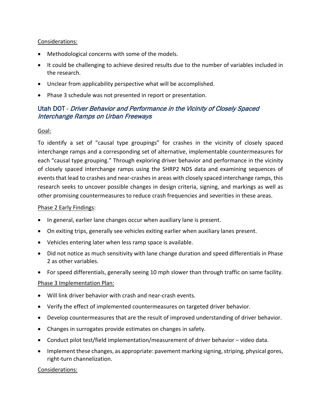### Considerations:

- Methodological concerns with some of the models.
- It could be challenging to achieve desired results due to the number of variables included in the research.
- Unclear from applicability perspective what will be accomplished.
- Phase 3 schedule was not presented in report or presentation.

## Utah DOT - Driver Behavior and Performance in the Vicinity of Closely Spaced Interchange Ramps on Urban Freeways

## Goal:

To identify a set of "causal type groupings" for crashes in the vicinity of closely spaced interchange ramps and a corresponding set of alternative, implementable countermeasures for each "causal type grouping." Through exploring driver behavior and performance in the vicinity of closely spaced interchange ramps using the SHRP2 NDS data and examining sequences of events that lead to crashes and near-crashes in areas with closely spaced interchange ramps, this research seeks to uncover possible changes in design criteria, signing, and markings as well as other promising countermeasures to reduce crash frequencies and severities in these areas.

#### Phase 2 Early Findings:

- In general, earlier lane changes occur when auxiliary lane is present.
- On exiting trips, generally see vehicles exiting earlier when auxiliary lanes present.
- Vehicles entering later when less ramp space is available.
- Did not notice as much sensitivity with lane change duration and speed differentials in Phase 2 as other variables.
- For speed differentials, generally seeing 10 mph slower than through traffic on same facility.

#### Phase 3 Implementation Plan:

- Will link driver behavior with crash and near-crash events.
- Verify the effect of implemented countermeasures on targeted driver behavior.
- Develop countermeasures that are the result of improved understanding of driver behavior.
- Changes in surrogates provide estimates on changes in safety.
- Conduct pilot test/field implementation/measurement of driver behavior video data.
- Implement these changes, as appropriate: pavement marking signing, striping, physical gores, right-turn channelization.

#### Considerations: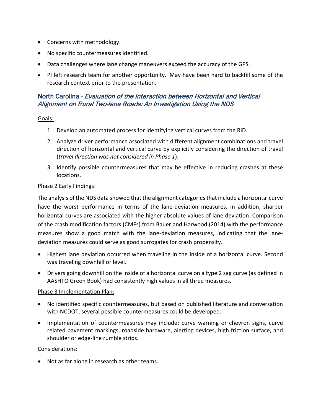- Concerns with methodology.
- No specific countermeasures identified.
- Data challenges where lane change maneuvers exceed the accuracy of the GPS.
- PI left research team for another opportunity. May have been hard to backfill some of the research context prior to the presentation.

## North Carolina - Evaluation of the Interaction between Horizontal and Vertical Alignment on Rural Two-lane Roads: An Investigation Using the NDS

## Goals:

- 1. Develop an automated process for identifying vertical curves from the RID.
- 2. Analyze driver performance associated with different alignment combinations and travel direction of horizontal and vertical curve by explicitly considering the direction of travel (*travel direction was not considered in Phase 1*).
- 3. Identify possible countermeasures that may be effective in reducing crashes at these locations.

## Phase 2 Early Findings:

The analysis of the NDS data showed that the alignment categories that include a horizontal curve have the worst performance in terms of the lane-deviation measures. In addition, sharper horizontal curves are associated with the higher absolute values of lane deviation. Comparison of the crash modification factors (CMFs) from Bauer and Harwood (2014) with the performance measures show a good match with the lane-deviation measures, indicating that the lanedeviation measures could serve as good surrogates for crash propensity.

- Highest lane deviation occurred when traveling in the inside of a horizontal curve. Second was traveling downhill or level.
- Drivers going downhill on the inside of a horizontal curve on a type 2 sag curve (as defined in AASHTO Green Book) had consistently high values in all three measures.

## Phase 3 Implementation Plan:

- No identified specific countermeasures, but based on published literature and conversation with NCDOT, several possible countermeasures could be developed.
- Implementation of countermeasures may include: curve warning or chevron signs, curve related pavement markings, roadside hardware, alerting devices, high friction surface, and shoulder or edge-line rumble strips.

## Considerations:

• Not as far along in research as other teams.